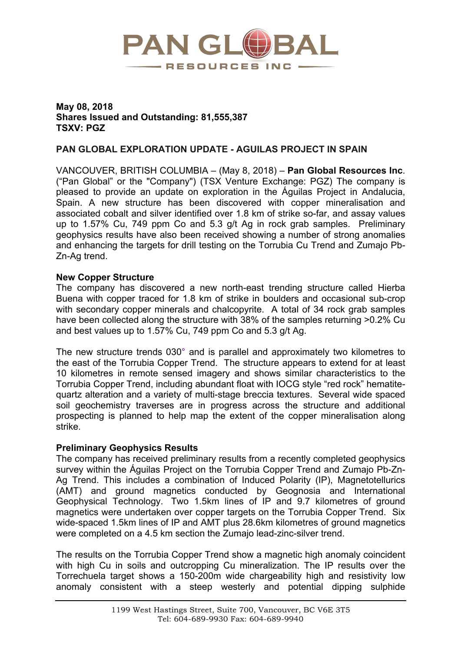

## **May 08, 2018 Shares Issued and Outstanding: 81,555,387 TSXV: PGZ**

# **PAN GLOBAL EXPLORATION UPDATE - AGUILAS PROJECT IN SPAIN**

VANCOUVER, BRITISH COLUMBIA – (May 8, 2018) – **Pan Global Resources Inc**. ("Pan Global" or the "Company") (TSX Venture Exchange: PGZ) The company is pleased to provide an update on exploration in the Águilas Project in Andalucia, Spain. A new structure has been discovered with copper mineralisation and associated cobalt and silver identified over 1.8 km of strike so-far, and assay values up to 1.57% Cu, 749 ppm Co and 5.3 g/t Ag in rock grab samples. Preliminary geophysics results have also been received showing a number of strong anomalies and enhancing the targets for drill testing on the Torrubia Cu Trend and Zumajo Pb-Zn-Ag trend.

## **New Copper Structure**

The company has discovered a new north-east trending structure called Hierba Buena with copper traced for 1.8 km of strike in boulders and occasional sub-crop with secondary copper minerals and chalcopyrite. A total of 34 rock grab samples have been collected along the structure with 38% of the samples returning  $>0.2\%$  Cu and best values up to 1.57% Cu, 749 ppm Co and 5.3 g/t Ag.

The new structure trends 030° and is parallel and approximately two kilometres to the east of the Torrubia Copper Trend. The structure appears to extend for at least 10 kilometres in remote sensed imagery and shows similar characteristics to the Torrubia Copper Trend, including abundant float with IOCG style "red rock" hematitequartz alteration and a variety of multi-stage breccia textures. Several wide spaced soil geochemistry traverses are in progress across the structure and additional prospecting is planned to help map the extent of the copper mineralisation along strike.

## **Preliminary Geophysics Results**

The company has received preliminary results from a recently completed geophysics survey within the Águilas Project on the Torrubia Copper Trend and Zumajo Pb-Zn-Ag Trend. This includes a combination of Induced Polarity (IP), Magnetotellurics (AMT) and ground magnetics conducted by Geognosia and International Geophysical Technology. Two 1.5km lines of IP and 9.7 kilometres of ground magnetics were undertaken over copper targets on the Torrubia Copper Trend. Six wide-spaced 1.5km lines of IP and AMT plus 28.6km kilometres of ground magnetics were completed on a 4.5 km section the Zumajo lead-zinc-silver trend.

The results on the Torrubia Copper Trend show a magnetic high anomaly coincident with high Cu in soils and outcropping Cu mineralization. The IP results over the Torrechuela target shows a 150-200m wide chargeability high and resistivity low anomaly consistent with a steep westerly and potential dipping sulphide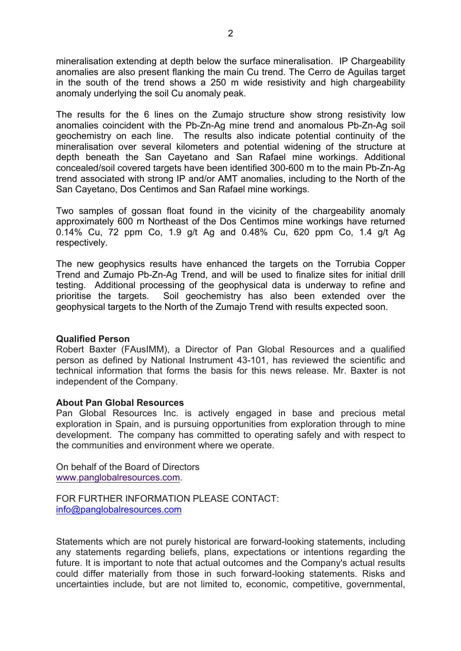mineralisation extending at depth below the surface mineralisation. IP Chargeability anomalies are also present flanking the main Cu trend. The Cerro de Aguilas target in the south of the trend shows a 250 m wide resistivity and high chargeability anomaly underlying the soil Cu anomaly peak.

The results for the 6 lines on the Zumajo structure show strong resistivity low anomalies coincident with the Pb-Zn-Ag mine trend and anomalous Pb-Zn-Ag soil geochemistry on each line. The results also indicate potential continuity of the mineralisation over several kilometers and potential widening of the structure at depth beneath the San Cayetano and San Rafael mine workings. Additional concealed/soil covered targets have been identified 300-600 m to the main Pb-Zn-Ag trend associated with strong IP and/or AMT anomalies, including to the North of the San Cayetano, Dos Centimos and San Rafael mine workings.

Two samples of gossan float found in the vicinity of the chargeability anomaly approximately 600 m Northeast of the Dos Centimos mine workings have returned 0.14% Cu, 72 ppm Co, 1.9 g/t Ag and 0.48% Cu, 620 ppm Co, 1.4 g/t Ag respectively.

The new geophysics results have enhanced the targets on the Torrubia Copper Trend and Zumajo Pb-Zn-Ag Trend, and will be used to finalize sites for initial drill testing. Additional processing of the geophysical data is underway to refine and prioritise the targets. Soil geochemistry has also been extended over the geophysical targets to the North of the Zumajo Trend with results expected soon.

#### **Qualified Person**

Robert Baxter (FAusIMM), a Director of Pan Global Resources and a qualified person as defined by National Instrument 43-101, has reviewed the scientific and technical information that forms the basis for this news release. Mr. Baxter is not independent of the Company.

#### **About Pan Global Resources**

Pan Global Resources Inc. is actively engaged in base and precious metal exploration in Spain, and is pursuing opportunities from exploration through to mine development. The company has committed to operating safely and with respect to the communities and environment where we operate.

On behalf of the Board of Directors www.panglobalresources.com.

FOR FURTHER INFORMATION PLEASE CONTACT: info@panglobalresources.com

Statements which are not purely historical are forward-looking statements, including any statements regarding beliefs, plans, expectations or intentions regarding the future. It is important to note that actual outcomes and the Company's actual results could differ materially from those in such forward-looking statements. Risks and uncertainties include, but are not limited to, economic, competitive, governmental,